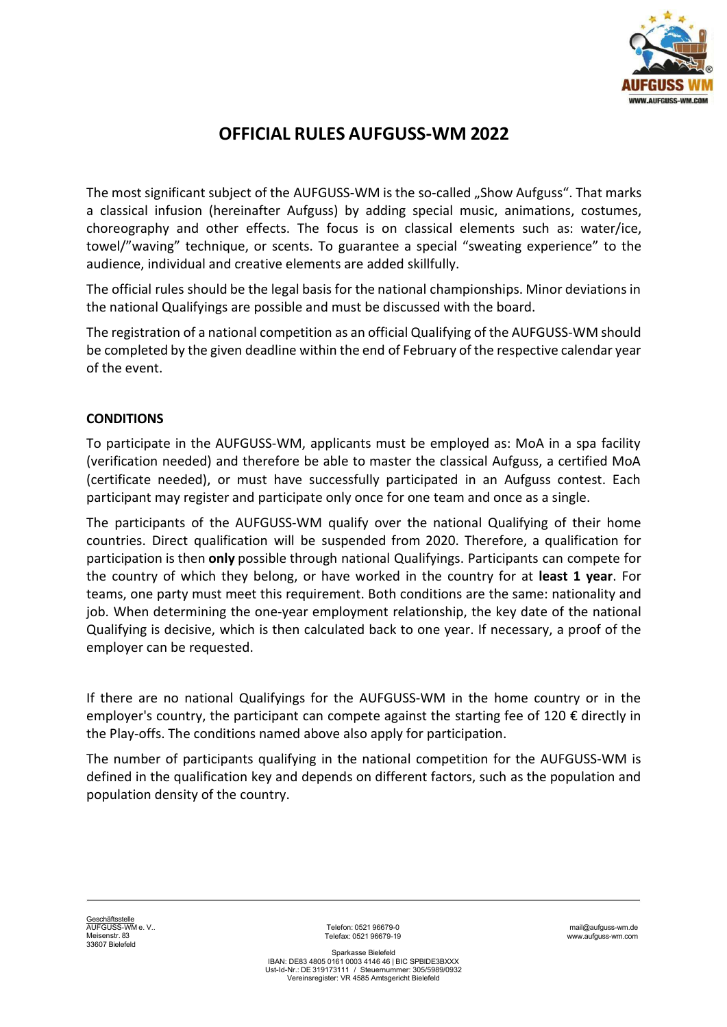

# OFFICIAL RULES AUFGUSS-WM 2022

The most significant subject of the AUFGUSS-WM is the so-called "Show Aufguss". That marks a classical infusion (hereinafter Aufguss) by adding special music, animations, costumes, choreography and other effects. The focus is on classical elements such as: water/ice, towel/"waving" technique, or scents. To guarantee a special "sweating experience" to the audience, individual and creative elements are added skillfully.

The official rules should be the legal basis for the national championships. Minor deviations in the national Qualifyings are possible and must be discussed with the board.

The registration of a national competition as an official Qualifying of the AUFGUSS-WM should be completed by the given deadline within the end of February of the respective calendar year of the event.

# **CONDITIONS**

To participate in the AUFGUSS-WM, applicants must be employed as: MoA in a spa facility (verification needed) and therefore be able to master the classical Aufguss, a certified MoA (certificate needed), or must have successfully participated in an Aufguss contest. Each participant may register and participate only once for one team and once as a single.

The participants of the AUFGUSS-WM qualify over the national Qualifying of their home countries. Direct qualification will be suspended from 2020. Therefore, a qualification for participation is then only possible through national Qualifyings. Participants can compete for the country of which they belong, or have worked in the country for at least 1 year. For teams, one party must meet this requirement. Both conditions are the same: nationality and job. When determining the one-year employment relationship, the key date of the national Qualifying is decisive, which is then calculated back to one year. If necessary, a proof of the employer can be requested.

If there are no national Qualifyings for the AUFGUSS-WM in the home country or in the employer's country, the participant can compete against the starting fee of 120  $\epsilon$  directly in the Play-offs. The conditions named above also apply for participation.

The number of participants qualifying in the national competition for the AUFGUSS-WM is defined in the qualification key and depends on different factors, such as the population and population density of the country.

<u>Geschäftsstelle</u><br>AUFGUSS-WM e. V.. Meisenstr. 83 33607 Bielefeld

Telefon: 0521 96679-0 Telefax: 0521 96679-19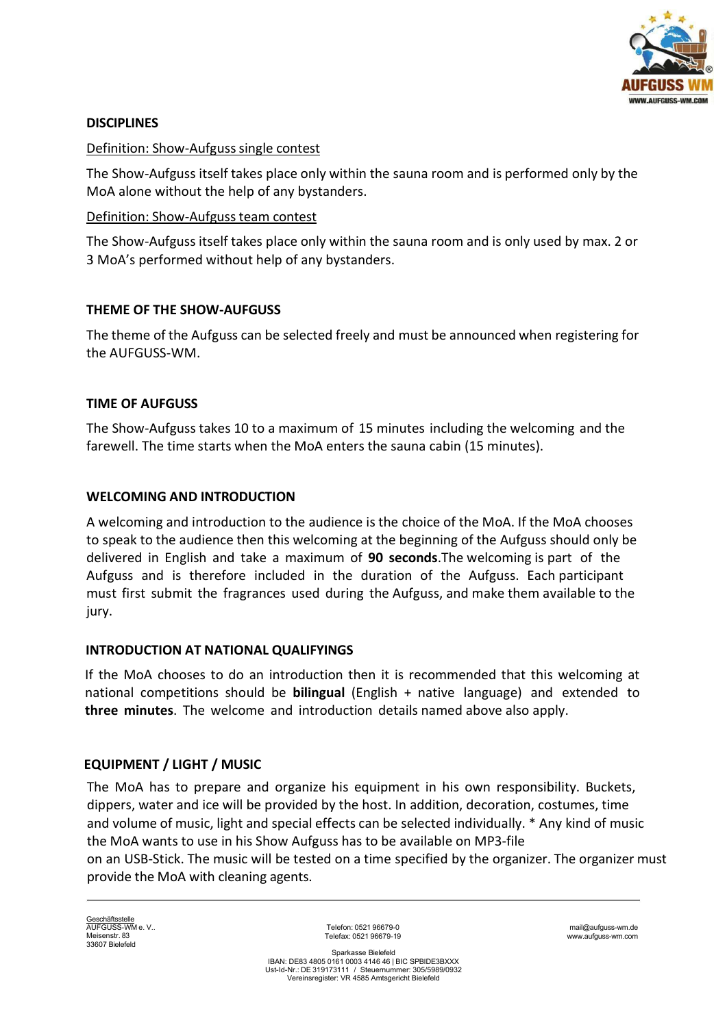

# **DISCIPLINES**

# Definition: Show-Aufguss single contest

The Show-Aufguss itself takes place only within the sauna room and is performed only by the MoA alone without the help of any bystanders.

### Definition: Show-Aufguss team contest

The Show-Aufguss itself takes place only within the sauna room and is only used by max. 2 or 3 MoA's performed without help of any bystanders.

# THEME OF THE SHOW-AUFGUSS

The theme of the Aufguss can be selected freely and must be announced when registering for the AUFGUSS-WM.

# TIME OF AUFGUSS

The Show-Aufguss takes 10 to a maximum of 15 minutes including the welcoming and the farewell. The time starts when the MoA enters the sauna cabin (15 minutes).

# WELCOMING AND INTRODUCTION

A welcoming and introduction to the audience is the choice of the MoA. If the MoA chooses to speak to the audience then this welcoming at the beginning of the Aufguss should only be delivered in English and take a maximum of 90 seconds.The welcoming is part of the Aufguss and is therefore included in the duration of the Aufguss. Each participant must first submit the fragrances used during the Aufguss, and make them available to the jury.

### INTRODUCTION AT NATIONAL QUALIFYINGS

If the MoA chooses to do an introduction then it is recommended that this welcoming at national competitions should be **bilingual** (English  $+$  native language) and extended to three minutes. The welcome and introduction details named above also apply.

# EQUIPMENT / LIGHT / MUSIC

The MoA has to prepare and organize his equipment in his own responsibility. Buckets, dippers, water and ice will be provided by the host. In addition, decoration, costumes, time and volume of music, light and special effects can be selected individually. \* Any kind of music the MoA wants to use in his Show Aufguss has to be available on MP3-file on an USB-Stick. The music will be tested on a time specified by the organizer. The organizer must provide the MoA with cleaning agents.

<u>Geschäftsstelle</u><br>AUFGUSS-WM e. V.. Meisenstr. 83 33607 Bielefeld

Telefon: 0521 96679-0 Telefax: 0521 96679-19

mail@aufguss-wm.de www.aufguss-wm.com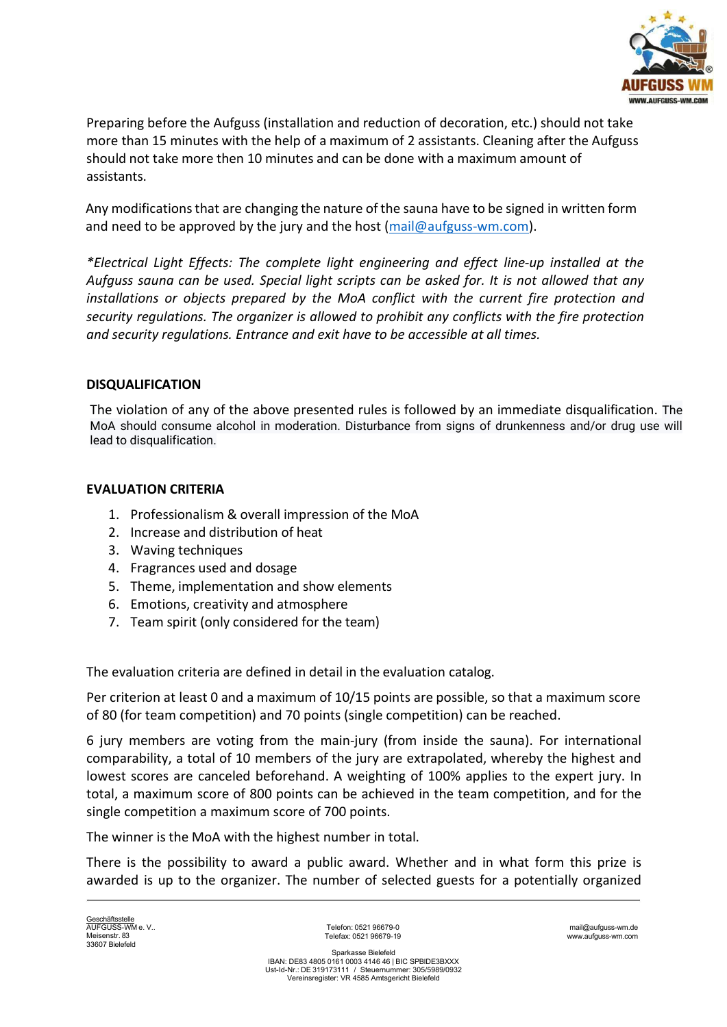

Preparing before the Aufguss (installation and reduction of decoration, etc.) should not take more than 15 minutes with the help of a maximum of 2 assistants. Cleaning after the Aufguss should not take more then 10 minutes and can be done with a maximum amount of assistants.

Any modifications that are changing the nature of the sauna have to be signed in written form and need to be approved by the jury and the host (mail@aufguss-wm.com).

\*Electrical Light Effects: The complete light engineering and effect line-up installed at the Aufguss sauna can be used. Special light scripts can be asked for. It is not allowed that any installations or objects prepared by the MoA conflict with the current fire protection and security regulations. The organizer is allowed to prohibit any conflicts with the fire protection and security regulations. Entrance and exit have to be accessible at all times.

### DISQUALIFICATION

The violation of any of the above presented rules is followed by an immediate disqualification. The MoA should consume alcohol in moderation. Disturbance from signs of drunkenness and/or drug use will lead to disqualification.

### EVALUATION CRITERIA

- 1. Professionalism & overall impression of the MoA
- 2. Increase and distribution of heat
- 3. Waving techniques
- 4. Fragrances used and dosage
- 5. Theme, implementation and show elements
- 6. Emotions, creativity and atmosphere
- 7. Team spirit (only considered for the team)

The evaluation criteria are defined in detail in the evaluation catalog.

Per criterion at least 0 and a maximum of 10/15 points are possible, so that a maximum score of 80 (for team competition) and 70 points (single competition) can be reached.

6 jury members are voting from the main-jury (from inside the sauna). For international comparability, a total of 10 members of the jury are extrapolated, whereby the highest and lowest scores are canceled beforehand. A weighting of 100% applies to the expert jury. In total, a maximum score of 800 points can be achieved in the team competition, and for the single competition a maximum score of 700 points.

The winner is the MoA with the highest number in total.

There is the possibility to award a public award. Whether and in what form this prize is awarded is up to the organizer. The number of selected guests for a potentially organized

Telefon: 0521 96679-0 Telefax: 0521 96679-19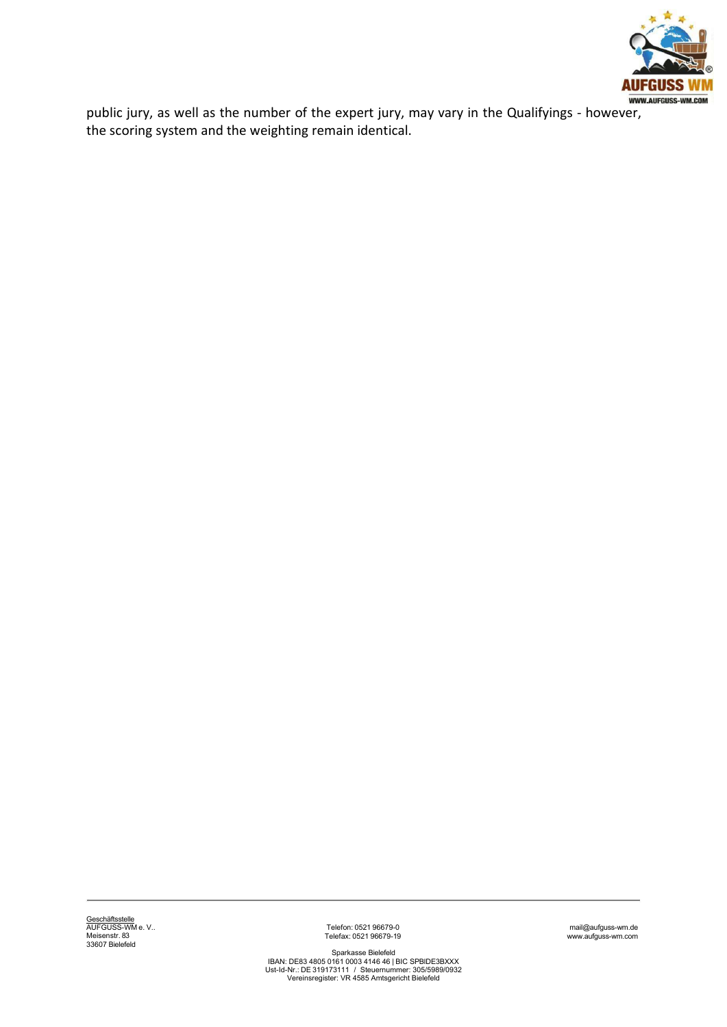

public jury, as well as the number of the expert jury, may vary in the Qualifyings - however, the scoring system and the weighting remain identical.

Telefon: 0521 96679-0 Telefax: 0521 96679-19

mail@aufguss-wm.de www.aufguss-wm.com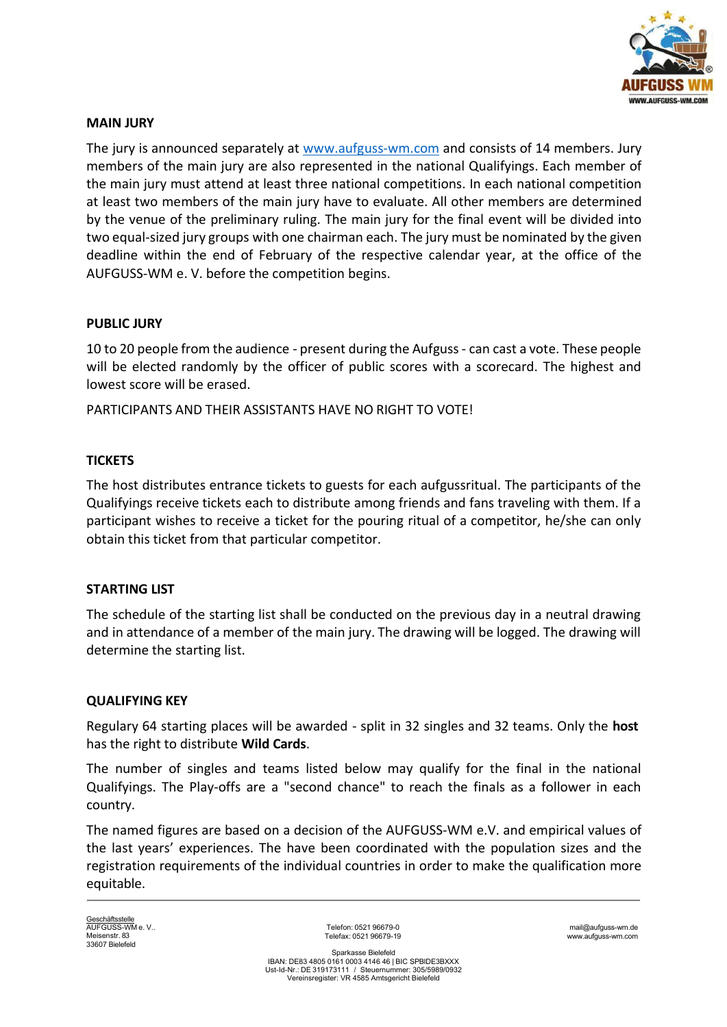

### MAIN JURY

The jury is announced separately at www.aufguss-wm.com and consists of 14 members. Jury members of the main jury are also represented in the national Qualifyings. Each member of the main jury must attend at least three national competitions. In each national competition at least two members of the main jury have to evaluate. All other members are determined by the venue of the preliminary ruling. The main jury for the final event will be divided into two equal-sized jury groups with one chairman each. The jury must be nominated by the given deadline within the end of February of the respective calendar year, at the office of the AUFGUSS-WM e. V. before the competition begins.

### PUBLIC JURY

10 to 20 people from the audience - present during the Aufguss - can cast a vote. These people will be elected randomly by the officer of public scores with a scorecard. The highest and lowest score will be erased.

PARTICIPANTS AND THEIR ASSISTANTS HAVE NO RIGHT TO VOTE!

### **TICKETS**

The host distributes entrance tickets to guests for each aufgussritual. The participants of the Qualifyings receive tickets each to distribute among friends and fans traveling with them. If a participant wishes to receive a ticket for the pouring ritual of a competitor, he/she can only obtain this ticket from that particular competitor.

#### STARTING LIST

The schedule of the starting list shall be conducted on the previous day in a neutral drawing and in attendance of a member of the main jury. The drawing will be logged. The drawing will determine the starting list.

#### QUALIFYING KEY

Regulary 64 starting places will be awarded - split in 32 singles and 32 teams. Only the host has the right to distribute Wild Cards.

The number of singles and teams listed below may qualify for the final in the national Qualifyings. The Play-offs are a "second chance" to reach the finals as a follower in each country.

The named figures are based on a decision of the AUFGUSS-WM e.V. and empirical values of the last years' experiences. The have been coordinated with the population sizes and the registration requirements of the individual countries in order to make the qualification more equitable.

<u>Geschäftsstelle</u><br>AUFGUSS-WM e. V.. Meisenstr. 83 33607 Bielefeld

Telefon: 0521 96679-0 Telefax: 0521 96679-19

mail@aufguss-wm.de www.aufguss-wm.com